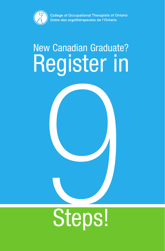

**College of Occupational Therapists of Ontario** Ordre des ergothérapeutes de l'Ontario

# New Canadian Graduate? Register in

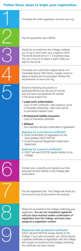## Follow these steps to begin your registration.

7

8

| Complete the online application at www.coto.org.                                                                                                                                                                     |
|----------------------------------------------------------------------------------------------------------------------------------------------------------------------------------------------------------------------|
| Pay the application fee of \$226.                                                                                                                                                                                    |
| Check for an email from the College notifying<br>you to log in and check your progress online.<br>The email should arrive in 1-2 business days.<br>You can move on to steps 4 and 5 while you<br>wait for the email. |
| Complete and submit the original results of a<br>Vulnerable Sector (VS) Check. Copies, scans or<br>faxes of results are not accepted. Review the<br>requirements at www.coto.org.                                    |
| Email the following documents to<br>application@coto.org. Be sure to include<br>your full name and applicant ID number<br>in the email subject line.                                                                 |
| • Legal work authorization<br>Copy of birth certificate, valid passport, proof<br>of Canadian citizenship, valid work permit,<br>or permanent resident card                                                          |
| • Professional liability insurance<br>Copy of insurance certificate                                                                                                                                                  |
| • Affidavit<br>Your university will send confirmation of graduation                                                                                                                                                  |
| <b>Applying for a provisional certificate?</b><br>Email confirmation of registration for the<br>next available CAOT NOTCE<br>• Email Provisional Registration Supervision<br>Agreement                               |
| <b>Applying for a general certificate?</b><br>CAOT will send NOTCE results directly to the<br>College                                                                                                                |
| Contact your university and request your final<br>transcript be sent directly to the College after<br>convocation.                                                                                                   |

Pay the registration fee. The College will email you the amount once all documents are received.

Check for an email from the College confirming your registration. You are not considered registered until you have received written confirmation of registration from the College, and have been assigned a registration number.

### Registered with provisional certificate?

CAOT will send NOTCE results directly to the College. If you were successful, you will be issued a general certificate of registration with the College **Registered with provisional certificate?**<br>CAOT will send NOTCE results directly to the<br>College. If you were successful, you will be issued<br>a general certificate of registration with the College<br>and receive an email from t the certificate has been issued.